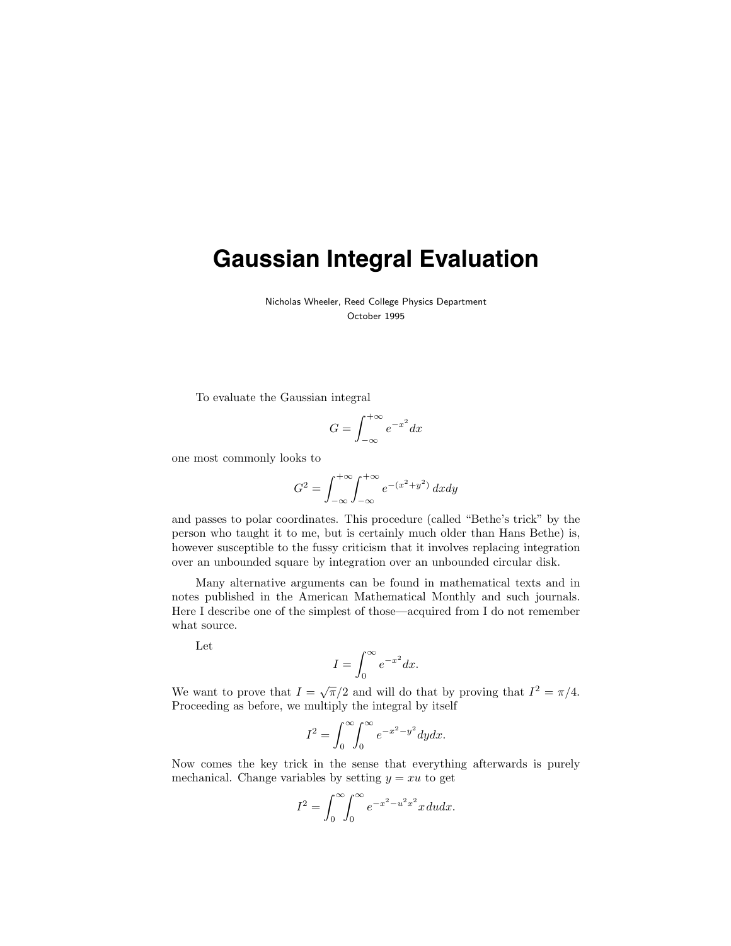## **Gaussian Integral Evaluation**

Nicholas Wheeler, Reed College Physics Department October 1995

To evaluate the Gaussian integral

$$
G = \int_{-\infty}^{+\infty} e^{-x^2} dx
$$

one most commonly looks to

$$
G^{2} = \int_{-\infty}^{+\infty} \int_{-\infty}^{+\infty} e^{-(x^{2}+y^{2})} dx dy
$$

and passes to polar coordinates. This procedure (called "Bethe's trick" by the person who taught it to me, but is certainly much older than Hans Bethe) is, however susceptible to the fussy criticism that it involves replacing integration over an unbounded square by integration over an unbounded circular disk.

Many alternative arguments can be found in mathematical texts and in notes published in the American Mathematical Monthly and such journals. Here I describe one of the simplest of those—acquired from I do not remember what source.

Let

$$
I = \int_0^\infty e^{-x^2} dx.
$$

We want to prove that  $I = \sqrt{\pi}/2$  and will do that by proving that  $I^2 = \pi/4$ . Proceeding as before, we multiply the integral by itself

$$
I^2 = \int_0^\infty \int_0^\infty e^{-x^2 - y^2} dy dx.
$$

Now comes the key trick in the sense that everything afterwards is purely mechanical. Change variables by setting  $y = xu$  to get

$$
I^2 = \int_0^\infty \int_0^\infty e^{-x^2 - u^2 x^2} x \, du \, dx.
$$